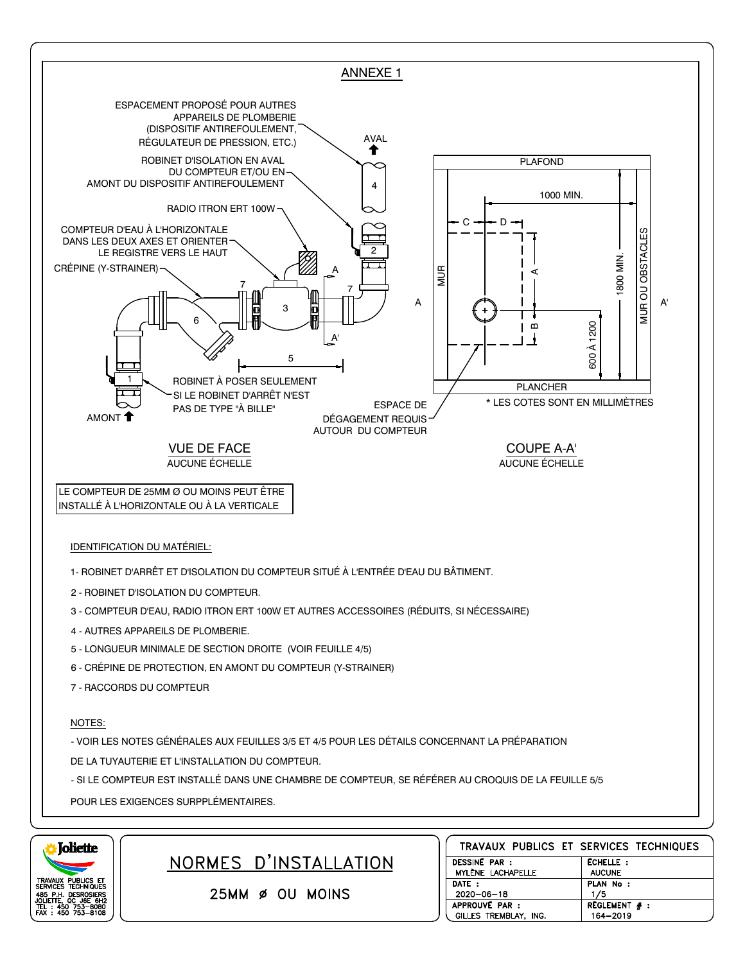



25MM Ø OU MOINS

NORMES D'INSTALLATION

|                      | TRAVAUX PUBLICS ET SERVICES TECHNIQUES |                 |  |
|----------------------|----------------------------------------|-----------------|--|
| <b>DESSINE PAR :</b> |                                        | ECHELLE:        |  |
|                      | MYLÈNE LACHAPELLE                      | <b>AUCUNE</b>   |  |
| DATE:                |                                        | PLAN No :       |  |
| $2020 - 06 - 18$     |                                        | 1/5             |  |
| APPROUVE PAR :       |                                        | REGLEMENT $#$ : |  |
|                      | GILLES TREMBLAY, ING.                  | 164-2019        |  |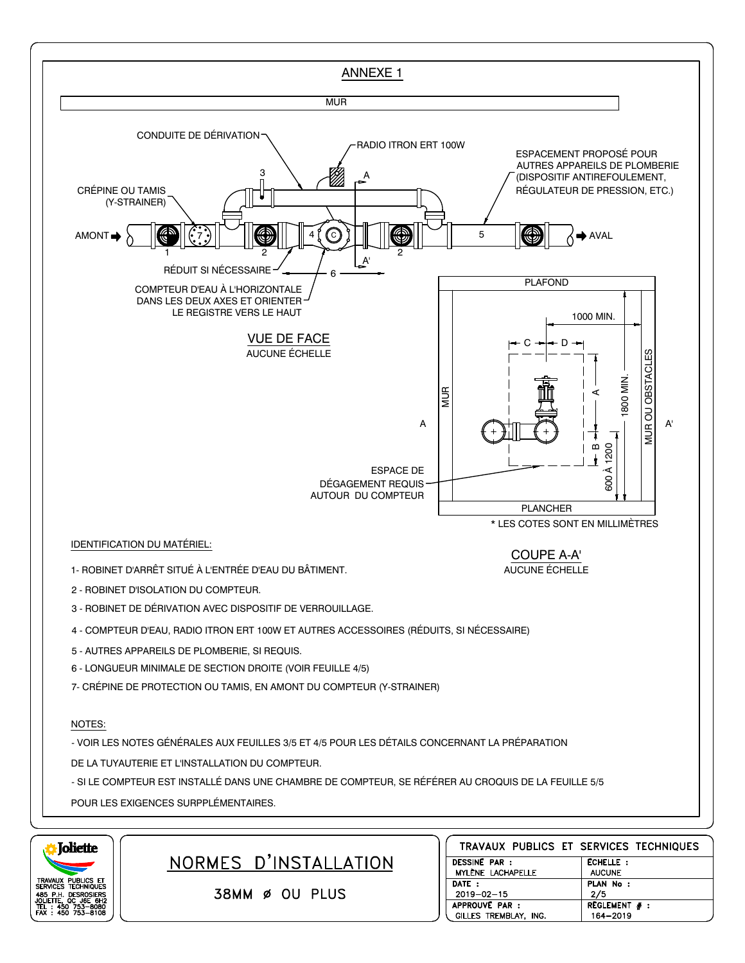



NORMES D'INSTALLATION

38MM Ø OU PLUS

| TRAVAUX PUBLICS ET SERVICES TECHNIQUES |                 |
|----------------------------------------|-----------------|
| <b>DESSINE PAR :</b>                   | ECHELLE :       |
| MYLÈNE LACHAPELLE                      | <b>AUCUNE</b>   |
| DATE:                                  | PLAN No :       |
| $2019 - 02 - 15$                       | 2/5             |
| APPROUVE PAR :                         | REGLEMENT $#$ : |
| GILLES TREMBLAY, ING.                  | 164-2019        |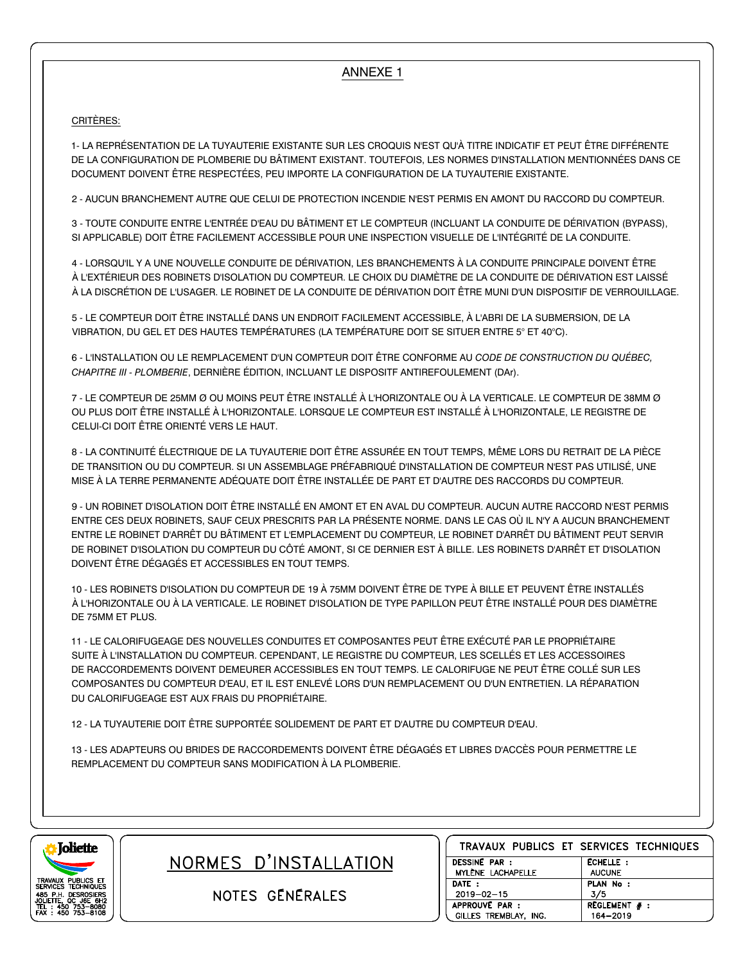## ANNEXE 1

## CRITÈRES:

1- LA REPRÉSENTATION DE LA TUYAUTERIE EXISTANTE SUR LES CROQUIS N'EST QU'À TITRE INDICATIF ET PEUT ÊTRE DIFFÉRENTE DE LA CONFIGURATION DE PLOMBERIE DU BÂTIMENT EXISTANT. TOUTEFOIS, LES NORMES D'INSTALLATION MENTIONNÉES DANS CE DOCUMENT DOIVENT ÊTRE RESPECTÉES, PEU IMPORTE LA CONFIGURATION DE LA TUYAUTERIE EXISTANTE.

2 - AUCUN BRANCHEMENT AUTRE QUE CELUI DE PROTECTION INCENDIE N'EST PERMIS EN AMONT DU RACCORD DU COMPTEUR.

3 - TOUTE CONDUITE ENTRE L'ENTRÉE D'EAU DU BÂTIMENT ET LE COMPTEUR (INCLUANT LA CONDUITE DE DÉRIVATION (BYPASS), SI APPLICABLE) DOIT ÊTRE FACILEMENT ACCESSIBLE POUR UNE INSPECTION VISUELLE DE L'INTÉGRITÉ DE LA CONDUITE.

4 - LORSQU'IL Y A UNE NOUVELLE CONDUITE DE DÉRIVATION, LES BRANCHEMENTS À LA CONDUITE PRINCIPALE DOIVENT ÊTRE À L'EXTÉRIEUR DES ROBINETS D'ISOLATION DU COMPTEUR. LE CHOIX DU DIAMÈTRE DE LA CONDUITE DE DÉRIVATION EST LAISSÉ À LA DISCRÉTION DE L'USAGER. LE ROBINET DE LA CONDUITE DE DÉRIVATION DOIT ÊTRE MUNI D'UN DISPOSITIF DE VERROUILLAGE.

5 - LE COMPTEUR DOIT ÊTRE INSTALLÉ DANS UN ENDROIT FACILEMENT ACCESSIBLE, À L'ABRI DE LA SUBMERSION, DE LA VIBRATION, DU GEL ET DES HAUTES TEMPÉRATURES (LA TEMPÉRATURE DOIT SE SITUER ENTRE 5° ET 40°C).

6 - L'INSTALLATION OU LE REMPLACEMENT D'UN COMPTEUR DOIT ÊTRE CONFORME AU *CODE DE CONSTRUCTION DU QUÉBEC, CHAPITRE III - PLOMBERIE*, DERNIÈRE ÉDITION, INCLUANT LE DISPOSITF ANTIREFOULEMENT (DAr).

7 - LE COMPTEUR DE 25MM Ø OU MOINS PEUT ÊTRE INSTALLÉ À L'HORIZONTALE OU À LA VERTICALE. LE COMPTEUR DE 38MM Ø OU PLUS DOIT ÊTRE INSTALLÉ À L'HORIZONTALE. LORSQUE LE COMPTEUR EST INSTALLÉ À L'HORIZONTALE, LE REGISTRE DE CELUI-CI DOIT ÊTRE ORIENTÉ VERS LE HAUT.

8 - LA CONTINUITÉ ÉLECTRIQUE DE LA TUYAUTERIE DOIT ÊTRE ASSURÉE EN TOUT TEMPS, MÊME LORS DU RETRAIT DE LA PIÈCE DE TRANSITION OU DU COMPTEUR. SI UN ASSEMBLAGE PRÉFABRIQUÉ D'INSTALLATION DE COMPTEUR N'EST PAS UTILISÉ, UNE MISE À LA TERRE PERMANENTE ADÉQUATE DOIT ÊTRE INSTALLÉE DE PART ET D'AUTRE DES RACCORDS DU COMPTEUR.

9 - UN ROBINET D'ISOLATION DOIT ÊTRE INSTALLÉ EN AMONT ET EN AVAL DU COMPTEUR. AUCUN AUTRE RACCORD N'EST PERMIS ENTRE CES DEUX ROBINETS, SAUF CEUX PRESCRITS PAR LA PRÉSENTE NORME. DANS LE CAS OÙ IL N'Y A AUCUN BRANCHEMENT ENTRE LE ROBINET D'ARRÊT DU BÂTIMENT ET L'EMPLACEMENT DU COMPTEUR, LE ROBINET D'ARRÊT DU BÂTIMENT PEUT SERVIR DE ROBINET D'ISOLATION DU COMPTEUR DU CÔTÉ AMONT, SI CE DERNIER EST À BILLE. LES ROBINETS D'ARRÊT ET D'ISOLATION DOIVENT ÊTRE DÉGAGÉS ET ACCESSIBLES EN TOUT TEMPS.

10 - LES ROBINETS D'ISOLATION DU COMPTEUR DE 19 À 75MM DOIVENT ÊTRE DE TYPE À BILLE ET PEUVENT ÊTRE INSTALLÉS À L'HORIZONTALE OU À LA VERTICALE. LE ROBINET D'ISOLATION DE TYPE PAPILLON PEUT ÊTRE INSTALLÉ POUR DES DIAMÈTRE DE 75MM ET PLUS.

11 - LE CALORIFUGEAGE DES NOUVELLES CONDUITES ET COMPOSANTES PEUT ÊTRE EXÉCUTÉ PAR LE PROPRIÉTAIRE SUITE À L'INSTALLATION DU COMPTEUR. CEPENDANT, LE REGISTRE DU COMPTEUR, LES SCELLÉS ET LES ACCESSOIRES DE RACCORDEMENTS DOIVENT DEMEURER ACCESSIBLES EN TOUT TEMPS. LE CALORIFUGE NE PEUT ÊTRE COLLÉ SUR LES COMPOSANTES DU COMPTEUR D'EAU, ET IL EST ENLEVÉ LORS D'UN REMPLACEMENT OU D'UN ENTRETIEN. LA RÉPARATION DU CALORIFUGEAGE EST AUX FRAIS DU PROPRIÉTAIRE.

12 - LA TUYAUTERIE DOIT ÊTRE SUPPORTÉE SOLIDEMENT DE PART ET D'AUTRE DU COMPTEUR D'EAU.

13 - LES ADAPTEURS OU BRIDES DE RACCORDEMENTS DOIVENT ÊTRE DÉGAGÉS ET LIBRES D'ACCÈS POUR PERMETTRE LE REMPLACEMENT DU COMPTEUR SANS MODIFICATION À LA PLOMBERIE.



NORMES D'INSTALLATION

NOTES GENERALES

| TRAVAUX PUBLICS ET SERVICES TECHNIQUES |                 |                 |  |
|----------------------------------------|-----------------|-----------------|--|
| <b>DESSINE PAR :</b>                   |                 | <b>ECHELLE:</b> |  |
| MYLÈNE LACHAPELLE                      |                 | <b>AUCUNE</b>   |  |
| DATE:                                  |                 | PLAN No :       |  |
| $2019 - 02 - 15$                       |                 | 3/5             |  |
| APPROUVE PAR :                         | REGLEMENT $#$ : |                 |  |
| GILLES TREMBLAY, ING.                  |                 | 164-2019        |  |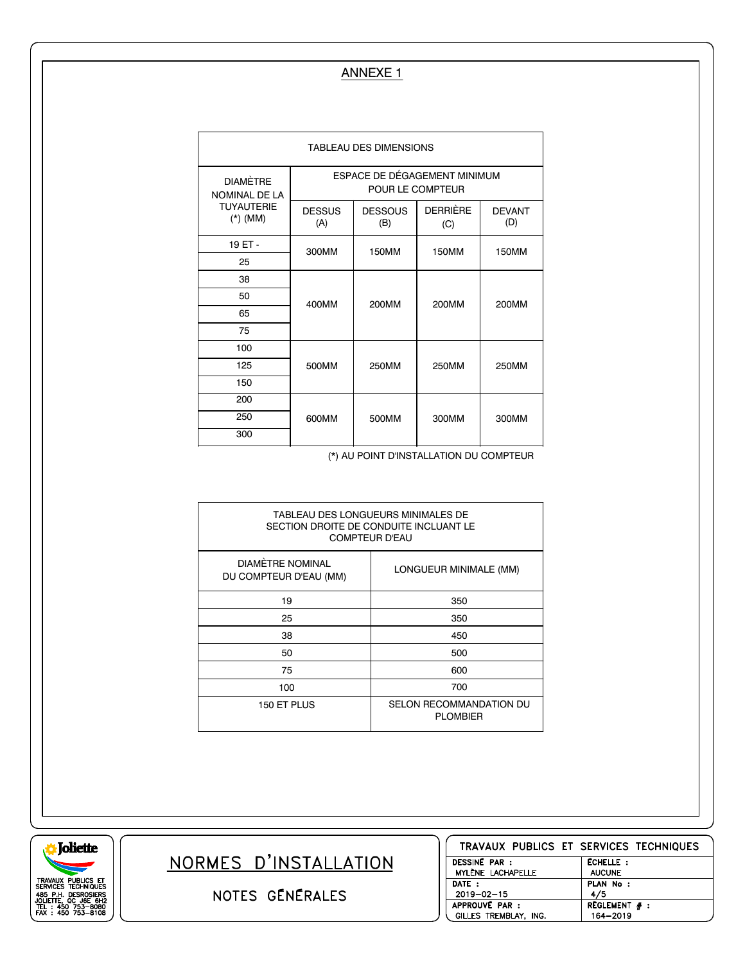## ANNEXE 1

| TABLEAU DES DIMENSIONS                                              |                                                  |                       |                        |                      |  |
|---------------------------------------------------------------------|--------------------------------------------------|-----------------------|------------------------|----------------------|--|
| <b>DIAMÈTRE</b><br>NOMINAL DE LA<br><b>TUYAUTERIE</b><br>$(*)$ (MM) | ESPACE DE DÉGAGEMENT MINIMUM<br>POUR LE COMPTEUR |                       |                        |                      |  |
|                                                                     | <b>DESSUS</b><br>(A)                             | <b>DESSOUS</b><br>(B) | <b>DERRIÈRE</b><br>(C) | <b>DEVANT</b><br>(D) |  |
| 19 ET -                                                             | 300MM                                            | 150MM                 | 150MM                  | <b>150MM</b>         |  |
| 25                                                                  |                                                  |                       |                        |                      |  |
| 38                                                                  | 400MM                                            | 200MM                 | 200MM                  | 200MM                |  |
| 50                                                                  |                                                  |                       |                        |                      |  |
| 65                                                                  |                                                  |                       |                        |                      |  |
| 75                                                                  |                                                  |                       |                        |                      |  |
| 100                                                                 |                                                  |                       |                        |                      |  |
| 125                                                                 | 500MM                                            | 250MM                 | 250MM                  | 250MM                |  |
| 150                                                                 |                                                  |                       |                        |                      |  |
| 200                                                                 |                                                  |                       |                        |                      |  |
| 250                                                                 | 600MM                                            | 500MM                 | 300MM                  | 300MM                |  |
| 300                                                                 |                                                  |                       |                        |                      |  |

(\*) AU POINT D'INSTALLATION DU COMPTEUR

| TABLEAU DES LONGUEURS MINIMALES DE<br>SECTION DROITE DE CONDUITE INCLUANT LE<br><b>COMPTEUR D'EAU</b> |                                            |  |  |  |
|-------------------------------------------------------------------------------------------------------|--------------------------------------------|--|--|--|
| <b>DIAMÈTRE NOMINAL</b><br>DU COMPTEUR D'EAU (MM)                                                     | LONGUEUR MINIMALE (MM)                     |  |  |  |
| 19                                                                                                    | 350                                        |  |  |  |
| 25                                                                                                    | 350                                        |  |  |  |
| 38                                                                                                    | 450                                        |  |  |  |
| 50                                                                                                    | 500                                        |  |  |  |
| 75                                                                                                    | 600                                        |  |  |  |
| 100                                                                                                   | 700                                        |  |  |  |
| 150 ET PLUS                                                                                           | SELON RECOMMANDATION DU<br><b>PLOMBIER</b> |  |  |  |

**Joliette** TRAVAUX PUBLICS ET<br>SERVICES TECHNIQUES<br>485 P.H. DESROSIERS<br>JOLLETTE, QC J6E 6H2<br>TEL : 450 753-8080<br>FAX : 450 753-8080

NORMES D'INSTALLATION

NOTES GENERALES

| TRAVAUX PUBLICS ET SERVICES TECHNIQUES |                 |
|----------------------------------------|-----------------|
| <b>DESSINE PAR :</b>                   | ECHELLE:        |
| MYLÈNE LACHAPELLE                      | <b>AUCUNE</b>   |
| DATE:                                  | PLAN No :       |
| $2019 - 02 - 15$                       | 4/5             |
| APPROUVE PAR :                         | REGLEMENT $#$ : |
| GILLES TREMBLAY, ING.                  | 164-2019        |